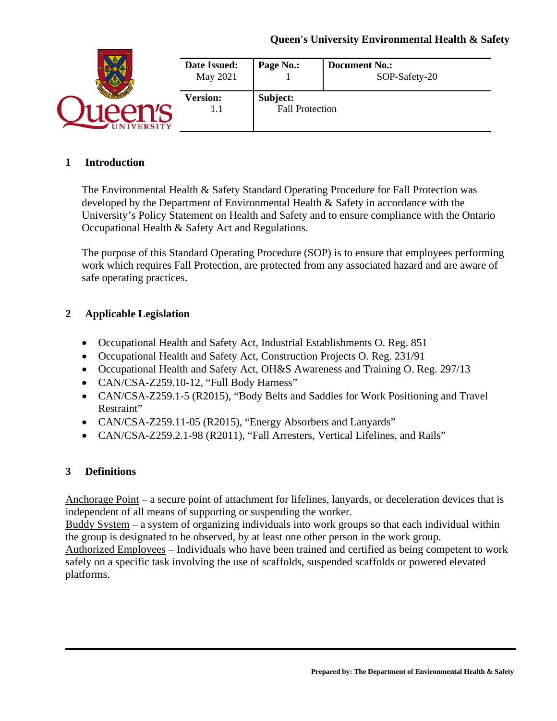|                 | Date Issued:<br>May 2021 | Page No.:                          | <b>Document No.:</b><br>SOP-Safety-20 |
|-----------------|--------------------------|------------------------------------|---------------------------------------|
|                 | <b>Version:</b><br>I.I   | Subject:<br><b>Fall Protection</b> |                                       |
| <b>IVERSITY</b> |                          |                                    |                                       |

#### **1 Introduction**

The Environmental Health & Safety Standard Operating Procedure for Fall Protection was developed by the Department of Environmental Health & Safety in accordance with the University's Policy Statement on Health and Safety and to ensure compliance with the Ontario Occupational Health & Safety Act and Regulations.

The purpose of this Standard Operating Procedure (SOP) is to ensure that employees performing work which requires Fall Protection, are protected from any associated hazard and are aware of safe operating practices.

## **2 Applicable Legislation**

- Occupational Health and Safety Act, Industrial Establishments O. Reg. 851
- Occupational Health and Safety Act, Construction Projects O. Reg. 231/91
- Occupational Health and Safety Act, OH&S Awareness and Training O. Reg. 297/13
- CAN/CSA-Z259.10-12, "Full Body Harness"
- CAN/CSA-Z259.1-5 (R2015), "Body Belts and Saddles for Work Positioning and Travel Restraint"
- CAN/CSA-Z259.11-05 (R2015), "Energy Absorbers and Lanyards"
- CAN/CSA-Z259.2.1-98 (R2011), "Fall Arresters, Vertical Lifelines, and Rails"

## **3 Definitions**

Anchorage Point – a secure point of attachment for lifelines, lanyards, or deceleration devices that is independent of all means of supporting or suspending the worker.

Buddy System – a system of organizing individuals into work groups so that each individual within the group is designated to be observed, by at least one other person in the work group.

Authorized Employees – Individuals who have been trained and certified as being competent to work safely on a specific task involving the use of scaffolds, suspended scaffolds or powered elevated platforms.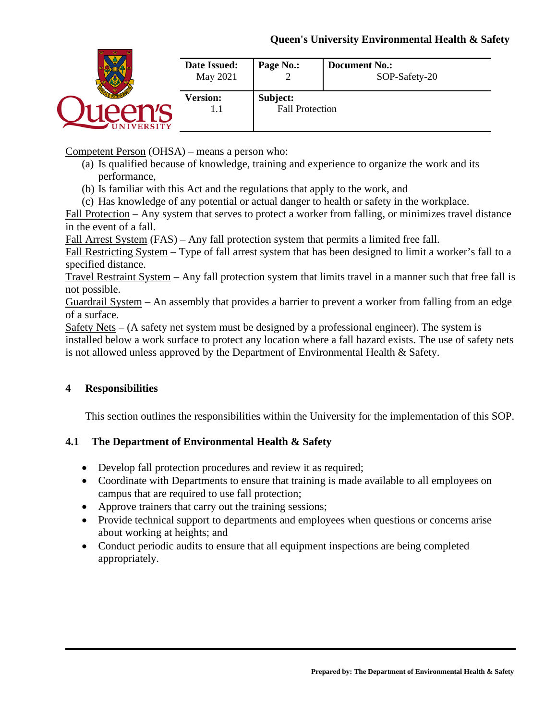## **Queen's University Environmental Health & Safety**

|               | Date Issued:<br>May 2021 | Page No.:              | <b>Document No.:</b><br>SOP-Safety-20 |
|---------------|--------------------------|------------------------|---------------------------------------|
|               | <b>Version:</b>          | Subject:               |                                       |
| <b>ERSITY</b> | 1.1                      | <b>Fall Protection</b> |                                       |

Competent Person (OHSA) – means a person who:

- (a) Is qualified because of knowledge, training and experience to organize the work and its performance,
- (b) Is familiar with this Act and the regulations that apply to the work, and
- (c) Has knowledge of any potential or actual danger to health or safety in the workplace.

Fall Protection – Any system that serves to protect a worker from falling, or minimizes travel distance in the event of a fall.

Fall Arrest System (FAS) – Any fall protection system that permits a limited free fall.

Fall Restricting System – Type of fall arrest system that has been designed to limit a worker's fall to a specified distance.

Travel Restraint System – Any fall protection system that limits travel in a manner such that free fall is not possible.

Guardrail System – An assembly that provides a barrier to prevent a worker from falling from an edge of a surface.

Safety Nets – (A safety net system must be designed by a professional engineer). The system is installed below a work surface to protect any location where a fall hazard exists. The use of safety nets is not allowed unless approved by the Department of Environmental Health & Safety.

## **4 Responsibilities**

This section outlines the responsibilities within the University for the implementation of this SOP.

## **4.1 The Department of Environmental Health & Safety**

- Develop fall protection procedures and review it as required;
- Coordinate with Departments to ensure that training is made available to all employees on campus that are required to use fall protection;
- Approve trainers that carry out the training sessions;
- Provide technical support to departments and employees when questions or concerns arise about working at heights; and
- Conduct periodic audits to ensure that all equipment inspections are being completed appropriately.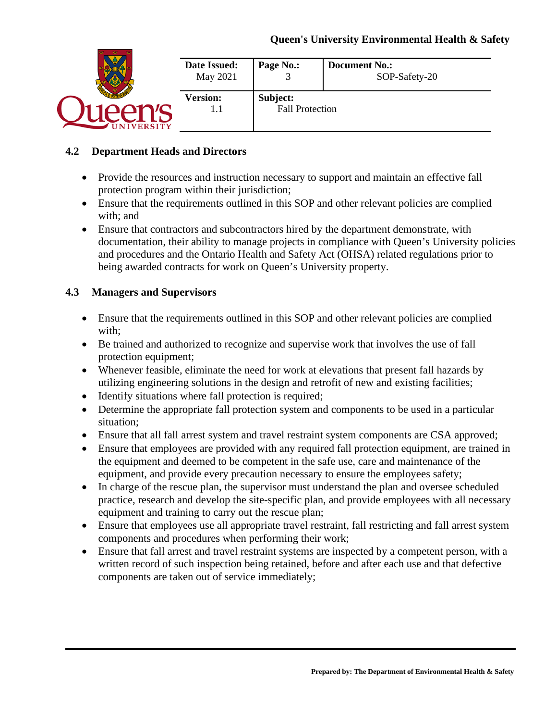| Date Issued:<br>May 2021 | Page No.:              | <b>Document No.:</b><br>SOP-Safety-20 |
|--------------------------|------------------------|---------------------------------------|
| <b>Version:</b>          | Subject:               |                                       |
|                          | <b>Fall Protection</b> |                                       |

## **4.2 Department Heads and Directors**

- Provide the resources and instruction necessary to support and maintain an effective fall protection program within their jurisdiction;
- Ensure that the requirements outlined in this SOP and other relevant policies are complied with; and
- Ensure that contractors and subcontractors hired by the department demonstrate, with documentation, their ability to manage projects in compliance with Queen's University policies and procedures and the Ontario Health and Safety Act (OHSA) related regulations prior to being awarded contracts for work on Queen's University property.

## **4.3 Managers and Supervisors**

- Ensure that the requirements outlined in this SOP and other relevant policies are complied with;
- Be trained and authorized to recognize and supervise work that involves the use of fall protection equipment;
- Whenever feasible, eliminate the need for work at elevations that present fall hazards by utilizing engineering solutions in the design and retrofit of new and existing facilities;
- Identify situations where fall protection is required;
- Determine the appropriate fall protection system and components to be used in a particular situation;
- Ensure that all fall arrest system and travel restraint system components are CSA approved;
- Ensure that employees are provided with any required fall protection equipment, are trained in the equipment and deemed to be competent in the safe use, care and maintenance of the equipment, and provide every precaution necessary to ensure the employees safety;
- In charge of the rescue plan, the supervisor must understand the plan and oversee scheduled practice, research and develop the site-specific plan, and provide employees with all necessary equipment and training to carry out the rescue plan;
- Ensure that employees use all appropriate travel restraint, fall restricting and fall arrest system components and procedures when performing their work;
- Ensure that fall arrest and travel restraint systems are inspected by a competent person, with a written record of such inspection being retained, before and after each use and that defective components are taken out of service immediately;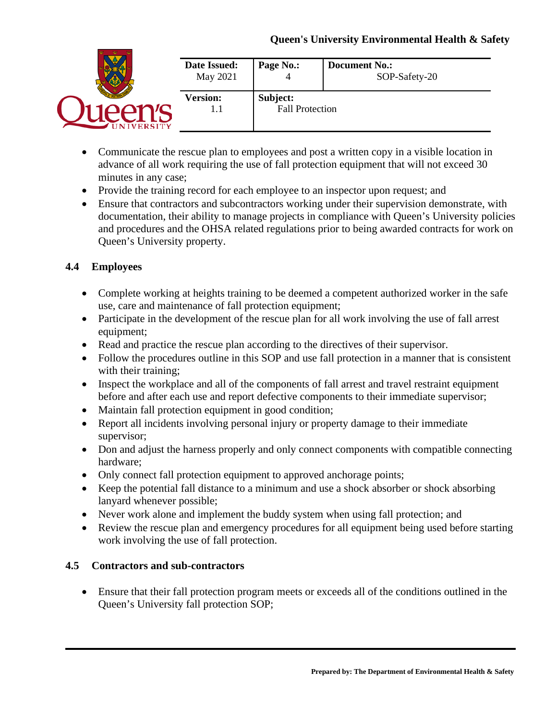|               | Date Issued:<br>May 2021 | Page No.:              | <b>Document No.:</b><br>SOP-Safety-20 |
|---------------|--------------------------|------------------------|---------------------------------------|
|               | <b>Version:</b>          | Subject:               |                                       |
| <b>ERSITY</b> | l . I                    | <b>Fall Protection</b> |                                       |

- Communicate the rescue plan to employees and post a written copy in a visible location in advance of all work requiring the use of fall protection equipment that will not exceed 30 minutes in any case;
- Provide the training record for each employee to an inspector upon request; and
- Ensure that contractors and subcontractors working under their supervision demonstrate, with documentation, their ability to manage projects in compliance with Queen's University policies and procedures and the OHSA related regulations prior to being awarded contracts for work on Queen's University property.

# **4.4 Employees**

- Complete working at heights training to be deemed a competent authorized worker in the safe use, care and maintenance of fall protection equipment;
- Participate in the development of the rescue plan for all work involving the use of fall arrest equipment;
- Read and practice the rescue plan according to the directives of their supervisor.
- Follow the procedures outline in this SOP and use fall protection in a manner that is consistent with their training;
- Inspect the workplace and all of the components of fall arrest and travel restraint equipment before and after each use and report defective components to their immediate supervisor;
- Maintain fall protection equipment in good condition;
- Report all incidents involving personal injury or property damage to their immediate supervisor;
- Don and adjust the harness properly and only connect components with compatible connecting hardware;
- Only connect fall protection equipment to approved anchorage points;
- Keep the potential fall distance to a minimum and use a shock absorber or shock absorbing lanyard whenever possible;
- Never work alone and implement the buddy system when using fall protection; and
- Review the rescue plan and emergency procedures for all equipment being used before starting work involving the use of fall protection.

## **4.5 Contractors and sub-contractors**

• Ensure that their fall protection program meets or exceeds all of the conditions outlined in the Queen's University fall protection SOP;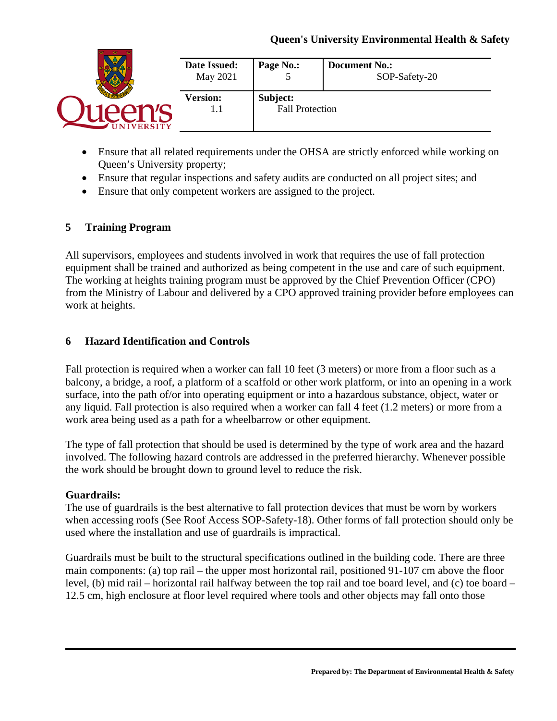|                 | Date Issued:<br>May 2021 | Page No.:<br>ັ         | <b>Document No.:</b><br>SOP-Safety-20 |
|-----------------|--------------------------|------------------------|---------------------------------------|
|                 | <b>Version:</b>          | Subject:               |                                       |
| <b>IVERSITY</b> |                          | <b>Fall Protection</b> |                                       |

- Ensure that all related requirements under the OHSA are strictly enforced while working on Queen's University property;
- Ensure that regular inspections and safety audits are conducted on all project sites; and
- Ensure that only competent workers are assigned to the project.

## **5 Training Program**

All supervisors, employees and students involved in work that requires the use of fall protection equipment shall be trained and authorized as being competent in the use and care of such equipment. The working at heights training program must be approved by the Chief Prevention Officer (CPO) from the Ministry of Labour and delivered by a CPO approved training provider before employees can work at heights.

## **6 Hazard Identification and Controls**

Fall protection is required when a worker can fall 10 feet (3 meters) or more from a floor such as a balcony, a bridge, a roof, a platform of a scaffold or other work platform, or into an opening in a work surface, into the path of/or into operating equipment or into a hazardous substance, object, water or any liquid. Fall protection is also required when a worker can fall 4 feet (1.2 meters) or more from a work area being used as a path for a wheelbarrow or other equipment.

The type of fall protection that should be used is determined by the type of work area and the hazard involved. The following hazard controls are addressed in the preferred hierarchy. Whenever possible the work should be brought down to ground level to reduce the risk.

## **Guardrails:**

The use of guardrails is the best alternative to fall protection devices that must be worn by workers when accessing roofs (See Roof Access SOP-Safety-18). Other forms of fall protection should only be used where the installation and use of guardrails is impractical.

Guardrails must be built to the structural specifications outlined in the building code. There are three main components: (a) top rail – the upper most horizontal rail, positioned 91-107 cm above the floor level, (b) mid rail – horizontal rail halfway between the top rail and toe board level, and (c) toe board – 12.5 cm, high enclosure at floor level required where tools and other objects may fall onto those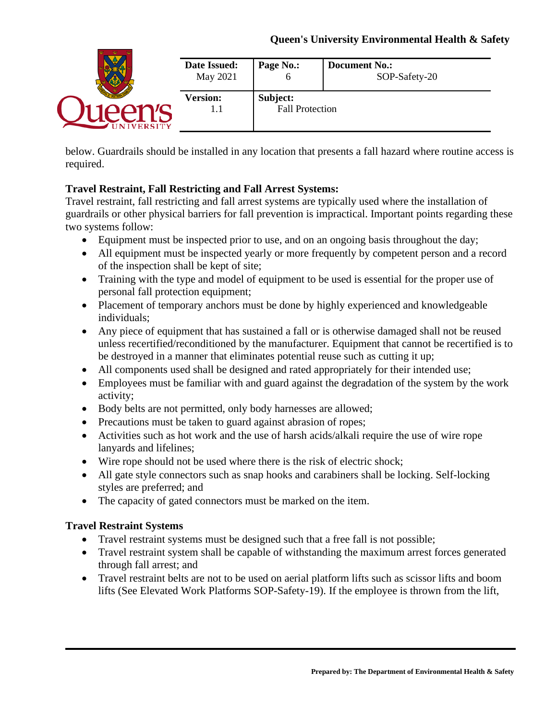|                | Date Issued:<br>May 2021 | Page No.:<br>o         | <b>Document No.:</b><br>SOP-Safety-20 |
|----------------|--------------------------|------------------------|---------------------------------------|
|                | <b>Version:</b>          | Subject:               |                                       |
| <b>VERSITY</b> | 1.I                      | <b>Fall Protection</b> |                                       |

below. Guardrails should be installed in any location that presents a fall hazard where routine access is required.

# **Travel Restraint, Fall Restricting and Fall Arrest Systems:**

Travel restraint, fall restricting and fall arrest systems are typically used where the installation of guardrails or other physical barriers for fall prevention is impractical. Important points regarding these two systems follow:

- Equipment must be inspected prior to use, and on an ongoing basis throughout the day;
- All equipment must be inspected yearly or more frequently by competent person and a record of the inspection shall be kept of site;
- Training with the type and model of equipment to be used is essential for the proper use of personal fall protection equipment;
- Placement of temporary anchors must be done by highly experienced and knowledgeable individuals;
- Any piece of equipment that has sustained a fall or is otherwise damaged shall not be reused unless recertified/reconditioned by the manufacturer. Equipment that cannot be recertified is to be destroyed in a manner that eliminates potential reuse such as cutting it up;
- All components used shall be designed and rated appropriately for their intended use;
- Employees must be familiar with and guard against the degradation of the system by the work activity;
- Body belts are not permitted, only body harnesses are allowed;
- Precautions must be taken to guard against abrasion of ropes;
- Activities such as hot work and the use of harsh acids/alkali require the use of wire rope lanyards and lifelines;
- Wire rope should not be used where there is the risk of electric shock;
- All gate style connectors such as snap hooks and carabiners shall be locking. Self-locking styles are preferred; and
- The capacity of gated connectors must be marked on the item.

## **Travel Restraint Systems**

- Travel restraint systems must be designed such that a free fall is not possible;
- Travel restraint system shall be capable of withstanding the maximum arrest forces generated through fall arrest; and
- Travel restraint belts are not to be used on aerial platform lifts such as scissor lifts and boom lifts (See Elevated Work Platforms SOP-Safety-19). If the employee is thrown from the lift,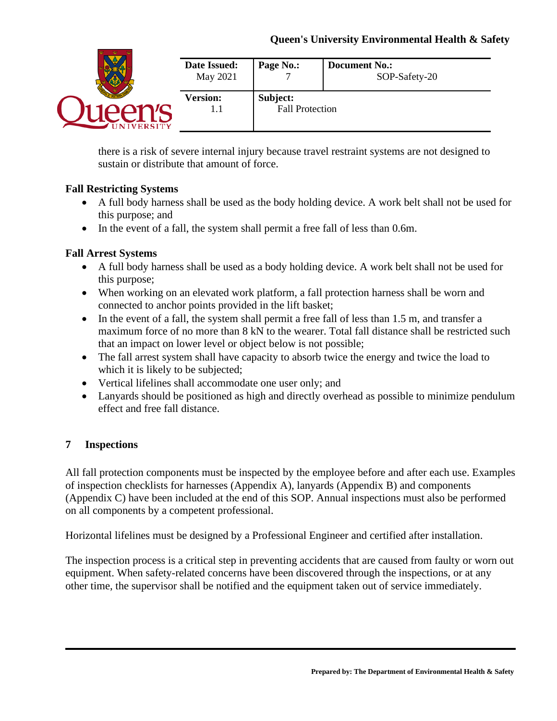|                | Date Issued:<br>May 2021 | Page No.:              | <b>Document No.:</b><br>SOP-Safety-20 |
|----------------|--------------------------|------------------------|---------------------------------------|
|                | <b>Version:</b>          | Subject:               |                                       |
| <b>OERSITY</b> | 1.I                      | <b>Fall Protection</b> |                                       |

there is a risk of severe internal injury because travel restraint systems are not designed to sustain or distribute that amount of force.

## **Fall Restricting Systems**

- A full body harness shall be used as the body holding device. A work belt shall not be used for this purpose; and
- In the event of a fall, the system shall permit a free fall of less than 0.6m.

# **Fall Arrest Systems**

- A full body harness shall be used as a body holding device. A work belt shall not be used for this purpose;
- When working on an elevated work platform, a fall protection harness shall be worn and connected to anchor points provided in the lift basket;
- In the event of a fall, the system shall permit a free fall of less than 1.5 m, and transfer a maximum force of no more than 8 kN to the wearer. Total fall distance shall be restricted such that an impact on lower level or object below is not possible;
- The fall arrest system shall have capacity to absorb twice the energy and twice the load to which it is likely to be subjected;
- Vertical lifelines shall accommodate one user only; and
- Lanyards should be positioned as high and directly overhead as possible to minimize pendulum effect and free fall distance.

# **7 Inspections**

All fall protection components must be inspected by the employee before and after each use. Examples of inspection checklists for harnesses (Appendix A), lanyards (Appendix B) and components (Appendix C) have been included at the end of this SOP. Annual inspections must also be performed on all components by a competent professional.

Horizontal lifelines must be designed by a Professional Engineer and certified after installation.

The inspection process is a critical step in preventing accidents that are caused from faulty or worn out equipment. When safety-related concerns have been discovered through the inspections, or at any other time, the supervisor shall be notified and the equipment taken out of service immediately.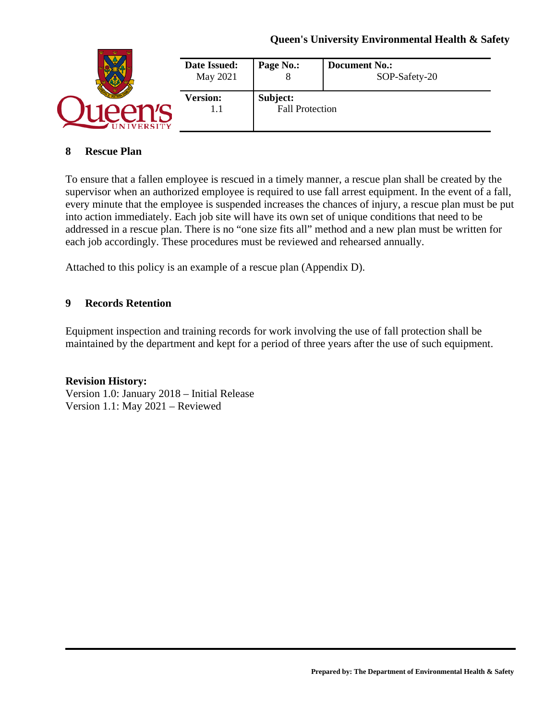## **Queen's University Environmental Health & Safety**

|                 | Date Issued:<br>May 2021 | Page No.:              | <b>Document No.:</b><br>SOP-Safety-20 |
|-----------------|--------------------------|------------------------|---------------------------------------|
|                 | <b>Version:</b>          | Subject:               |                                       |
| <b>IVERSITY</b> |                          | <b>Fall Protection</b> |                                       |

#### **8 Rescue Plan**

To ensure that a fallen employee is rescued in a timely manner, a rescue plan shall be created by the supervisor when an authorized employee is required to use fall arrest equipment. In the event of a fall, every minute that the employee is suspended increases the chances of injury, a rescue plan must be put into action immediately. Each job site will have its own set of unique conditions that need to be addressed in a rescue plan. There is no "one size fits all" method and a new plan must be written for each job accordingly. These procedures must be reviewed and rehearsed annually.

Attached to this policy is an example of a rescue plan (Appendix D).

## **9 Records Retention**

Equipment inspection and training records for work involving the use of fall protection shall be maintained by the department and kept for a period of three years after the use of such equipment.

#### **Revision History:**

Version 1.0: January 2018 – Initial Release Version 1.1: May 2021 – Reviewed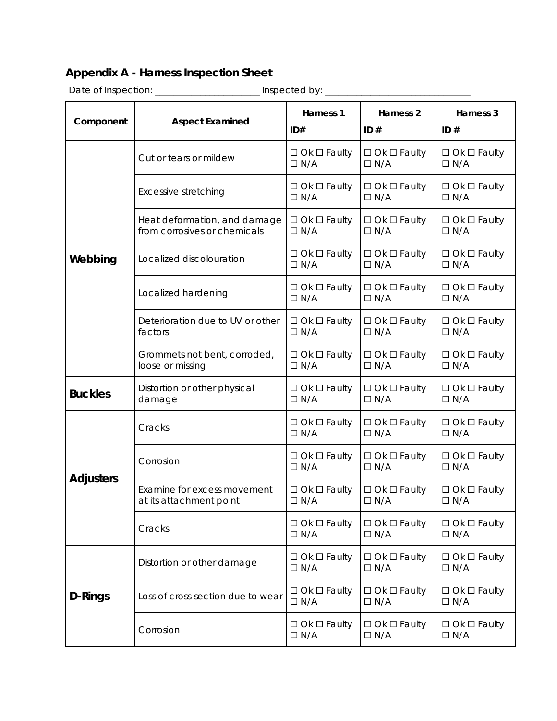# **Appendix A - Harness Inspection Sheet**

|                  | Date of Inspection: __________<br>Inspected by: __           |                                       |                                       |                                       |  |
|------------------|--------------------------------------------------------------|---------------------------------------|---------------------------------------|---------------------------------------|--|
| Component        | <b>Aspect Examined</b>                                       | Harness 1<br>ID#                      | Harness <sub>2</sub><br>ID#           | Harness 3<br>ID#                      |  |
|                  | Cut or tears or mildew                                       | $\Box$ Ok $\Box$ Faulty<br>$\Box N/A$ | $\Box$ Ok $\Box$ Faulty<br>$\Box N/A$ | $\Box$ Ok $\Box$ Faulty<br>$\Box$ N/A |  |
|                  | Excessive stretching                                         | $\Box$ Ok $\Box$ Faulty<br>$\Box N/A$ | $\Box$ Ok $\Box$ Faulty<br>$\Box$ N/A | $\Box$ Ok $\Box$ Faulty<br>$\Box N/A$ |  |
|                  | Heat deformation, and damage<br>from corrosives or chemicals | $\Box$ Ok $\Box$ Faulty<br>$\Box N/A$ | $\Box$ Ok $\Box$ Faulty<br>$\Box N/A$ | $\Box$ Ok $\Box$ Faulty<br>$\Box N/A$ |  |
| Webbing          | Localized discolouration                                     | $\Box$ Ok $\Box$ Faulty<br>$\Box N/A$ | $\Box$ Ok $\Box$ Faulty<br>$\Box N/A$ | $\Box$ Ok $\Box$ Faulty<br>$\Box N/A$ |  |
|                  | Localized hardening                                          | $\Box$ Ok $\Box$ Faulty<br>$\Box N/A$ | $\Box$ Ok $\Box$ Faulty<br>$\Box N/A$ | $\Box$ Ok $\Box$ Faulty<br>$\Box N/A$ |  |
|                  | Deterioration due to UV or other<br>factors                  | $\Box$ Ok $\Box$ Faulty<br>$\Box N/A$ | $\Box$ Ok $\Box$ Faulty<br>$\Box N/A$ | $\Box$ Ok $\Box$ Faulty<br>$\Box N/A$ |  |
|                  | Grommets not bent, corroded,<br>loose or missing             | $\Box$ Ok $\Box$ Faulty<br>$\Box N/A$ | $\Box$ Ok $\Box$ Faulty<br>$\Box N/A$ | $\Box$ Ok $\Box$ Faulty<br>$\Box N/A$ |  |
| <b>Buckles</b>   | Distortion or other physical<br>damage                       | $\Box$ Ok $\Box$ Faulty<br>$\Box N/A$ | $\Box$ Ok $\Box$ Faulty<br>$\Box N/A$ | $\Box$ Ok $\Box$ Faulty<br>$\Box N/A$ |  |
|                  | Cracks                                                       | $\Box$ Ok $\Box$ Faulty<br>$\Box N/A$ | $\Box$ Ok $\Box$ Faulty<br>$\Box N/A$ | $\Box$ Ok $\Box$ Faulty<br>$\Box N/A$ |  |
| <b>Adjusters</b> | Corrosion                                                    | $\Box$ Ok $\Box$ Faulty<br>$\Box N/A$ | $\Box$ Ok $\Box$ Faulty<br>$\Box N/A$ | $\Box$ Ok $\Box$ Faulty<br>$\Box N/A$ |  |
|                  | Examine for excess movement<br>at its attachment point       | $\Box$ Ok $\Box$ Faulty<br>$\Box N/A$ | $\Box$ Ok $\Box$ Faulty<br>$\Box N/A$ | $\Box$ Ok $\Box$ Faulty<br>$\Box$ N/A |  |
|                  | Cracks                                                       | $\Box$ Ok $\Box$ Faulty<br>$\Box N/A$ | $\Box$ Ok $\Box$ Faulty<br>$\Box N/A$ | $\Box$ Ok $\Box$ Faulty<br>$\Box N/A$ |  |
|                  | Distortion or other damage                                   | $\Box$ Ok $\Box$ Faulty<br>$\Box N/A$ | $\Box$ Ok $\Box$ Faulty<br>$\Box N/A$ | $\Box$ Ok $\Box$ Faulty<br>$\Box N/A$ |  |
| D-Rings          | Loss of cross-section due to wear                            | $\Box$ Ok $\Box$ Faulty<br>$\Box N/A$ | $\Box$ Ok $\Box$ Faulty<br>$\Box N/A$ | $\Box$ Ok $\Box$ Faulty<br>$\Box N/A$ |  |
|                  | Corrosion                                                    | $\Box$ Ok $\Box$ Faulty<br>$\Box N/A$ | $\Box$ Ok $\Box$ Faulty<br>$\Box N/A$ | $\Box$ Ok $\Box$ Faulty<br>$\Box N/A$ |  |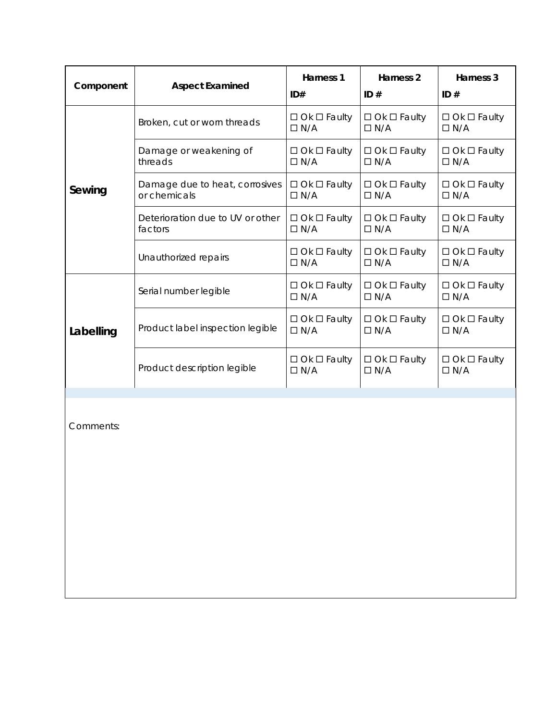| Component | <b>Aspect Examined</b>                         | Harness 1<br>ID#                      | Harness <sub>2</sub><br>ID#           | Harness 3<br>ID#                      |
|-----------|------------------------------------------------|---------------------------------------|---------------------------------------|---------------------------------------|
|           | Broken, cut or worn threads                    | $\Box$ Ok $\Box$ Faulty<br>$\Box N/A$ | $\Box$ Ok $\Box$ Faulty<br>$\Box N/A$ | $\Box$ Ok $\Box$ Faulty<br>$\Box N/A$ |
|           | Damage or weakening of<br>threads              | $\Box$ Ok $\Box$ Faulty<br>$\Box N/A$ | $\Box$ Ok $\Box$ Faulty<br>$\Box N/A$ | $\Box$ Ok $\Box$ Faulty<br>$\Box$ N/A |
| Sewing    | Damage due to heat, corrosives<br>or chemicals | $\Box$ Ok $\Box$ Faulty<br>$\Box N/A$ | $\Box$ Ok $\Box$ Faulty<br>$\Box N/A$ | $\Box$ Ok $\Box$ Faulty<br>$\Box N/A$ |
|           | Deterioration due to UV or other<br>factors    | $\Box$ Ok $\Box$ Faulty<br>$\Box N/A$ | $\Box$ Ok $\Box$ Faulty<br>$\Box N/A$ | $\Box$ Ok $\Box$ Faulty<br>$\Box N/A$ |
|           | Unauthorized repairs                           | $\Box$ Ok $\Box$ Faulty<br>$\Box N/A$ | $\Box$ Ok $\Box$ Faulty<br>$\Box N/A$ | $\Box$ Ok $\Box$ Faulty<br>$\Box N/A$ |
|           | Serial number legible                          | $\Box$ Ok $\Box$ Faulty<br>$\Box N/A$ | $\Box$ Ok $\Box$ Faulty<br>$\Box N/A$ | $\Box$ Ok $\Box$ Faulty<br>$\Box N/A$ |
| Labelling | Product label inspection legible               | $\Box$ Ok $\Box$ Faulty<br>$\Box N/A$ | $\Box$ Ok $\Box$ Faulty<br>$\Box N/A$ | $\Box$ Ok $\Box$ Faulty<br>$\Box N/A$ |
|           | Product description legible                    | $\Box$ Ok $\Box$ Faulty<br>$\Box N/A$ | $\Box$ Ok $\Box$ Faulty<br>$\Box N/A$ | $\Box$ Ok $\Box$ Faulty<br>$\Box N/A$ |
| Comments: |                                                |                                       |                                       |                                       |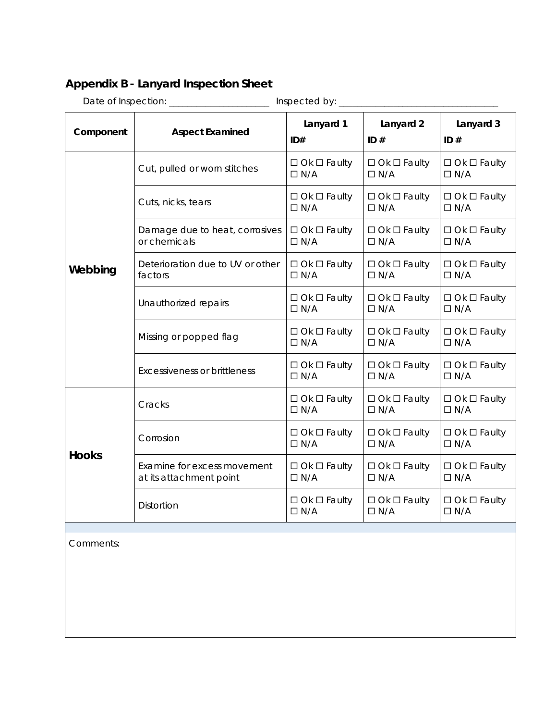# **Appendix B - Lanyard Inspection Sheet**

Date of Inspection: \_\_\_\_\_\_\_\_\_\_\_\_\_\_\_\_\_\_\_\_\_\_ Inspected by: \_\_\_\_\_\_\_\_\_\_\_\_\_\_\_\_\_\_\_\_\_\_\_\_\_\_\_\_\_\_\_\_\_\_\_ **Component Aspect Examined Lanyard 1 ID# Lanyard 2 ID # Lanyard 3 ID # Webbing** Cut, pulled or worn stitches  $\Box$  Ok  $\Box$  Faulty  $\Box N/A$  $\Box$  Ok  $\Box$  Faulty  $\Box N/A$  $\Box$  Ok  $\Box$  Faulty  $\Box$  N/A Cuts, nicks, tears  $\Box$   $\Box$  Ok  $\Box$  Faulty  $\Box N/A$  $\square$  Ok  $\square$  Faulty  $\Box N/A$  $\Box$  Ok  $\Box$  Faulty  $\Box N/A$ Damage due to heat, corrosives or chemicals  $\square$  Ok  $\square$  Faulty  $\Box N/A$  $\square$  Ok  $\square$  Faulty  $\Box N/A$  $\Box$  Ok  $\Box$  Faulty  $\Box N/A$ Deterioration due to UV or other factors  $\Box$  Ok  $\Box$  Faulty  $\Box$  N/A  $\Box$  Ok  $\Box$  Faulty  $\Box N/A$  $\Box$  Ok  $\Box$  Faulty  $\Box N/A$ Unauthorized repairs  $\Box$  Ok  $\Box$  Faulty  $\Box N/A$  $\Box$  Ok  $\Box$  Faulty  $\Box N/A$  $\Box$  Ok  $\Box$  Faulty  $\Box N/A$ Missing or popped flag  $\Box$  Ok  $\Box$  Faulty  $\Box$  N/A  $\square$  Ok  $\square$  Faulty  $\Box N/A$  $\Box$  Ok  $\Box$  Faulty  $\Box$  N/A Excessiveness or brittleness  $\Box$   $\Box$  Ok  $\Box$  Faulty  $\Box N/A$  $\Box$  Ok  $\Box$  Faulty  $\Box N/A$  $\Box$  Ok  $\Box$  Faulty  $\Box N/A$ **Hooks** Cracks  $\Box$  Ok  $\Box$  Faulty  $\Box$  N/A  $\Box$  Ok  $\Box$  Faulty  $\Box N/A$  $\Box$  Ok  $\Box$  Faulty  $\Box N/A$ Corrosion  $\Box$  Ok  $\Box$  Faulty  $\Box$  N/A  $\Box$  Ok  $\Box$  Faulty  $\Box$  N/A  $\Box$  Ok  $\Box$  Faulty  $\Box$  N/A Examine for excess movement at its attachment point  $\Box$  Ok  $\Box$  Faulty  $\Box N/A$  $\Box$  Ok  $\Box$  Faulty  $\Box N/A$  $\Box$  Ok  $\Box$  Faulty  $\Box N/A$ Distortion  $\Box$  Ok  $\Box$  Faulty  $\Box N/A$  $\square$  Ok  $\square$  Faulty  $\Box N/A$  $\Box$  Ok  $\Box$  Faulty  $\Box N/A$ 

Comments: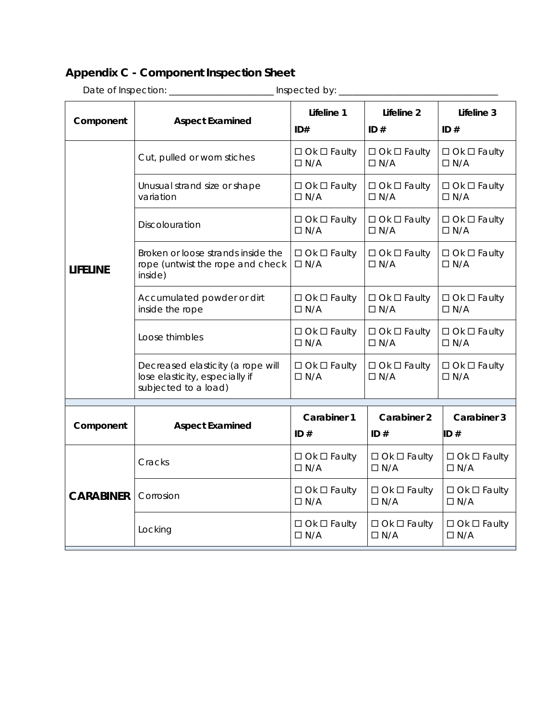# **Appendix C - Component Inspection Sheet**

| Inspected by: _  |                                                                                             |                                       |                                       |                                       |
|------------------|---------------------------------------------------------------------------------------------|---------------------------------------|---------------------------------------|---------------------------------------|
| Component        | <b>Aspect Examined</b>                                                                      | Lifeline 1<br>ID#                     | Lifeline 2<br>ID#                     | Lifeline 3<br>ID#                     |
|                  | Cut, pulled or worn stiches                                                                 | $\Box$ Ok $\Box$ Faulty<br>$\Box N/A$ | $\Box$ Ok $\Box$ Faulty<br>$\Box N/A$ | $\Box$ Ok $\Box$ Faulty<br>$\Box N/A$ |
|                  | Unusual strand size or shape<br>variation                                                   | $\Box$ Ok $\Box$ Faulty<br>$\Box N/A$ | $\Box$ Ok $\Box$ Faulty<br>$\Box N/A$ | $\Box$ Ok $\Box$ Faulty<br>$\Box N/A$ |
|                  | Discolouration                                                                              | $\Box$ Ok $\Box$ Faulty<br>$\Box N/A$ | $\Box$ Ok $\Box$ Faulty<br>$\Box N/A$ | $\Box$ Ok $\Box$ Faulty<br>$\Box N/A$ |
| <b>LIFELINE</b>  | Broken or loose strands inside the<br>rope (untwist the rope and check<br>inside)           | $\Box$ Ok $\Box$ Faulty<br>$\Box N/A$ | $\Box$ Ok $\Box$ Faulty<br>$\Box N/A$ | $\Box$ Ok $\Box$ Faulty<br>$\Box N/A$ |
|                  | Accumulated powder or dirt<br>inside the rope                                               | $\Box$ Ok $\Box$ Faulty<br>$\Box$ N/A | $\Box$ Ok $\Box$ Faulty<br>$\Box$ N/A | $\Box$ Ok $\Box$ Faulty<br>$\Box$ N/A |
|                  | Loose thimbles                                                                              | $\Box$ Ok $\Box$ Faulty<br>$\Box$ N/A | $\Box$ Ok $\Box$ Faulty<br>$\Box N/A$ | $\Box$ Ok $\Box$ Faulty<br>$\Box$ N/A |
|                  | Decreased elasticity (a rope will<br>lose elasticity, especially if<br>subjected to a load) | $\Box$ Ok $\Box$ Faulty<br>$\Box N/A$ | $\Box$ Ok $\Box$ Faulty<br>$\Box N/A$ | $\Box$ Ok $\Box$ Faulty<br>$\Box N/A$ |
| Component        | <b>Aspect Examined</b>                                                                      | Carabiner 1<br>ID $#$                 | Carabiner 2<br>ID#                    | Carabiner 3<br>ID#                    |
|                  | Cracks                                                                                      | $\Box$ Ok $\Box$ Faulty<br>$\Box N/A$ | $\Box$ Ok $\Box$ Faulty<br>$\Box N/A$ | $\Box$ Ok $\Box$ Faulty<br>$\Box N/A$ |
| <b>CARABINER</b> | Corrosion                                                                                   | $\Box$ Ok $\Box$ Faulty<br>$\Box N/A$ | $\Box$ Ok $\Box$ Faulty<br>$\Box N/A$ | $\Box$ Ok $\Box$ Faulty<br>$\Box N/A$ |
|                  | Locking                                                                                     | $\Box$ Ok $\Box$ Faulty<br>$\Box N/A$ | $\Box$ Ok $\Box$ Faulty<br>$\Box N/A$ | $\Box$ Ok $\Box$ Faulty<br>$\Box N/A$ |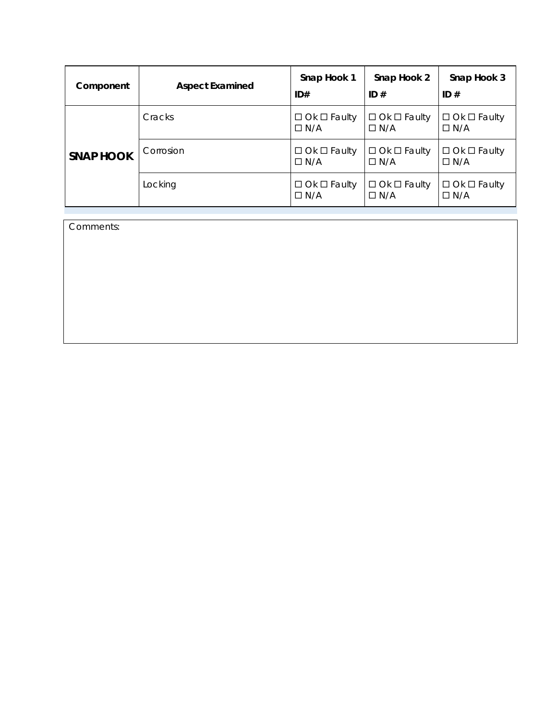| Component        | <b>Aspect Examined</b> | Snap Hook 1<br>ID#                    | Snap Hook 2<br>ID#                    | Snap Hook 3<br>ID#                    |
|------------------|------------------------|---------------------------------------|---------------------------------------|---------------------------------------|
|                  | Cracks                 | $\Box$ Ok $\Box$ Faulty<br>$\Box N/A$ | $\Box$ Ok $\Box$ Faulty<br>$\Box$ N/A | $\Box$ Ok $\Box$ Faulty<br>$\Box$ N/A |
| <b>SNAP HOOK</b> | Corrosion              | $\Box$ Ok $\Box$ Faulty<br>$\Box$ N/A | $\Box$ Ok $\Box$ Faulty<br>$\Box$ N/A | $\Box$ Ok $\Box$ Faulty<br>$\Box$ N/A |
|                  | Locking                | $\Box$ Ok $\Box$ Faulty<br>$\Box$ N/A | $\Box$ Ok $\Box$ Faulty<br>$\Box$ N/A | $\Box$ Ok $\Box$ Faulty<br>$\Box$ N/A |

Comments: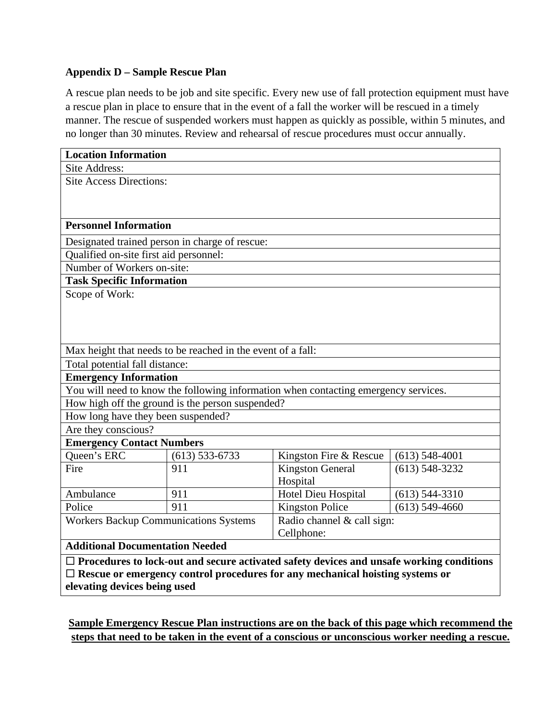## **Appendix D – Sample Rescue Plan**

A rescue plan needs to be job and site specific. Every new use of fall protection equipment must have a rescue plan in place to ensure that in the event of a fall the worker will be rescued in a timely manner. The rescue of suspended workers must happen as quickly as possible, within 5 minutes, and no longer than 30 minutes. Review and rehearsal of rescue procedures must occur annually.

| <b>Location Information</b>                                                                     |                    |                         |                            |  |
|-------------------------------------------------------------------------------------------------|--------------------|-------------------------|----------------------------|--|
| Site Address:                                                                                   |                    |                         |                            |  |
| <b>Site Access Directions:</b>                                                                  |                    |                         |                            |  |
|                                                                                                 |                    |                         |                            |  |
|                                                                                                 |                    |                         |                            |  |
| <b>Personnel Information</b>                                                                    |                    |                         |                            |  |
| Designated trained person in charge of rescue:                                                  |                    |                         |                            |  |
| Qualified on-site first aid personnel:                                                          |                    |                         |                            |  |
| Number of Workers on-site:                                                                      |                    |                         |                            |  |
| <b>Task Specific Information</b>                                                                |                    |                         |                            |  |
| Scope of Work:                                                                                  |                    |                         |                            |  |
|                                                                                                 |                    |                         |                            |  |
|                                                                                                 |                    |                         |                            |  |
|                                                                                                 |                    |                         |                            |  |
| Max height that needs to be reached in the event of a fall:                                     |                    |                         |                            |  |
| Total potential fall distance:                                                                  |                    |                         |                            |  |
| <b>Emergency Information</b>                                                                    |                    |                         |                            |  |
| You will need to know the following information when contacting emergency services.             |                    |                         |                            |  |
| How high off the ground is the person suspended?                                                |                    |                         |                            |  |
| How long have they been suspended?                                                              |                    |                         |                            |  |
| Are they conscious?                                                                             |                    |                         |                            |  |
| <b>Emergency Contact Numbers</b>                                                                |                    |                         |                            |  |
| Queen's ERC                                                                                     | $(613) 533 - 6733$ | Kingston Fire & Rescue  | $(613)$ 548-4001           |  |
| Fire                                                                                            | 911                | <b>Kingston General</b> | $(613)$ 548-3232           |  |
|                                                                                                 |                    | Hospital                |                            |  |
| Ambulance                                                                                       | 911                | Hotel Dieu Hospital     | $(613)$ 544-3310           |  |
| Police                                                                                          | 911                | <b>Kingston Police</b>  | $(613)$ 549-4660           |  |
| <b>Workers Backup Communications Systems</b>                                                    |                    |                         | Radio channel & call sign: |  |
|                                                                                                 |                    | Cellphone:              |                            |  |
| <b>Additional Documentation Needed</b>                                                          |                    |                         |                            |  |
| $\Box$ Procedures to lock-out and secure activated safety devices and unsafe working conditions |                    |                         |                            |  |
| $\Box$ Rescue or emergency control procedures for any mechanical hoisting systems or            |                    |                         |                            |  |
| elevating devices being used                                                                    |                    |                         |                            |  |

**Sample Emergency Rescue Plan instructions are on the back of this page which recommend the steps that need to be taken in the event of a conscious or unconscious worker needing a rescue.**